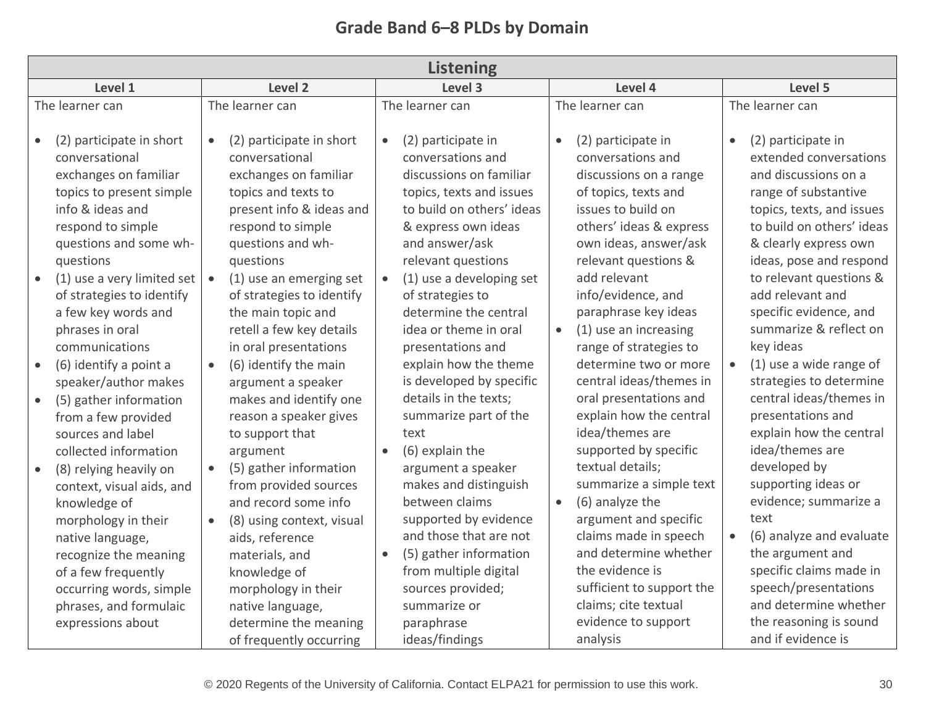| <b>Listening</b>                                                                                                                                                                                                                                                     |                                                                                                                                                                                                                                                                                             |                                                                                                                                                                                                                                                                                                       |                                                                                                                                                                                                                                                                                        |                                                                                                                                                                                                                                                                                               |  |  |  |
|----------------------------------------------------------------------------------------------------------------------------------------------------------------------------------------------------------------------------------------------------------------------|---------------------------------------------------------------------------------------------------------------------------------------------------------------------------------------------------------------------------------------------------------------------------------------------|-------------------------------------------------------------------------------------------------------------------------------------------------------------------------------------------------------------------------------------------------------------------------------------------------------|----------------------------------------------------------------------------------------------------------------------------------------------------------------------------------------------------------------------------------------------------------------------------------------|-----------------------------------------------------------------------------------------------------------------------------------------------------------------------------------------------------------------------------------------------------------------------------------------------|--|--|--|
| Level 1                                                                                                                                                                                                                                                              | Level 2                                                                                                                                                                                                                                                                                     | Level 3                                                                                                                                                                                                                                                                                               | Level 4                                                                                                                                                                                                                                                                                | Level 5                                                                                                                                                                                                                                                                                       |  |  |  |
| The learner can<br>(2) participate in short<br>conversational<br>exchanges on familiar<br>topics to present simple<br>info & ideas and<br>respond to simple<br>questions and some wh-<br>questions                                                                   | The learner can<br>(2) participate in short<br>$\bullet$<br>conversational<br>exchanges on familiar<br>topics and texts to<br>present info & ideas and<br>respond to simple<br>questions and wh-<br>questions                                                                               | The learner can<br>(2) participate in<br>$\bullet$<br>conversations and<br>discussions on familiar<br>topics, texts and issues<br>to build on others' ideas<br>& express own ideas<br>and answer/ask<br>relevant questions                                                                            | The learner can<br>(2) participate in<br>conversations and<br>discussions on a range<br>of topics, texts and<br>issues to build on<br>others' ideas & express<br>own ideas, answer/ask<br>relevant questions &                                                                         | The learner can<br>(2) participate in<br>extended conversations<br>and discussions on a<br>range of substantive<br>topics, texts, and issues<br>to build on others' ideas<br>& clearly express own<br>ideas, pose and respond                                                                 |  |  |  |
| (1) use a very limited set<br>of strategies to identify<br>a few key words and<br>phrases in oral<br>communications<br>(6) identify a point a<br>speaker/author makes<br>(5) gather information<br>from a few provided<br>sources and label<br>collected information | (1) use an emerging set<br>$\bullet$<br>of strategies to identify<br>the main topic and<br>retell a few key details<br>in oral presentations<br>(6) identify the main<br>$\bullet$<br>argument a speaker<br>makes and identify one<br>reason a speaker gives<br>to support that<br>argument | (1) use a developing set<br>$\bullet$<br>of strategies to<br>determine the central<br>idea or theme in oral<br>presentations and<br>explain how the theme<br>is developed by specific<br>details in the texts;<br>summarize part of the<br>text<br>(6) explain the<br>$\bullet$<br>argument a speaker | add relevant<br>info/evidence, and<br>paraphrase key ideas<br>(1) use an increasing<br>range of strategies to<br>determine two or more<br>central ideas/themes in<br>oral presentations and<br>explain how the central<br>idea/themes are<br>supported by specific<br>textual details; | to relevant questions &<br>add relevant and<br>specific evidence, and<br>summarize & reflect on<br>key ideas<br>(1) use a wide range of<br>$\bullet$<br>strategies to determine<br>central ideas/themes in<br>presentations and<br>explain how the central<br>idea/themes are<br>developed by |  |  |  |
| (8) relying heavily on<br>$\bullet$<br>context, visual aids, and<br>knowledge of<br>morphology in their<br>native language,<br>recognize the meaning<br>of a few frequently<br>occurring words, simple<br>phrases, and formulaic<br>expressions about                | (5) gather information<br>from provided sources<br>and record some info<br>(8) using context, visual<br>aids, reference<br>materials, and<br>knowledge of<br>morphology in their<br>native language,<br>determine the meaning<br>of frequently occurring                                    | makes and distinguish<br>between claims<br>supported by evidence<br>and those that are not<br>(5) gather information<br>$\bullet$<br>from multiple digital<br>sources provided;<br>summarize or<br>paraphrase<br>ideas/findings                                                                       | summarize a simple text<br>(6) analyze the<br>$\bullet$<br>argument and specific<br>claims made in speech<br>and determine whether<br>the evidence is<br>sufficient to support the<br>claims; cite textual<br>evidence to support<br>analysis                                          | supporting ideas or<br>evidence; summarize a<br>text<br>(6) analyze and evaluate<br>the argument and<br>specific claims made in<br>speech/presentations<br>and determine whether<br>the reasoning is sound<br>and if evidence is                                                              |  |  |  |

## **Grade Band 6–8 PLDs by Domain**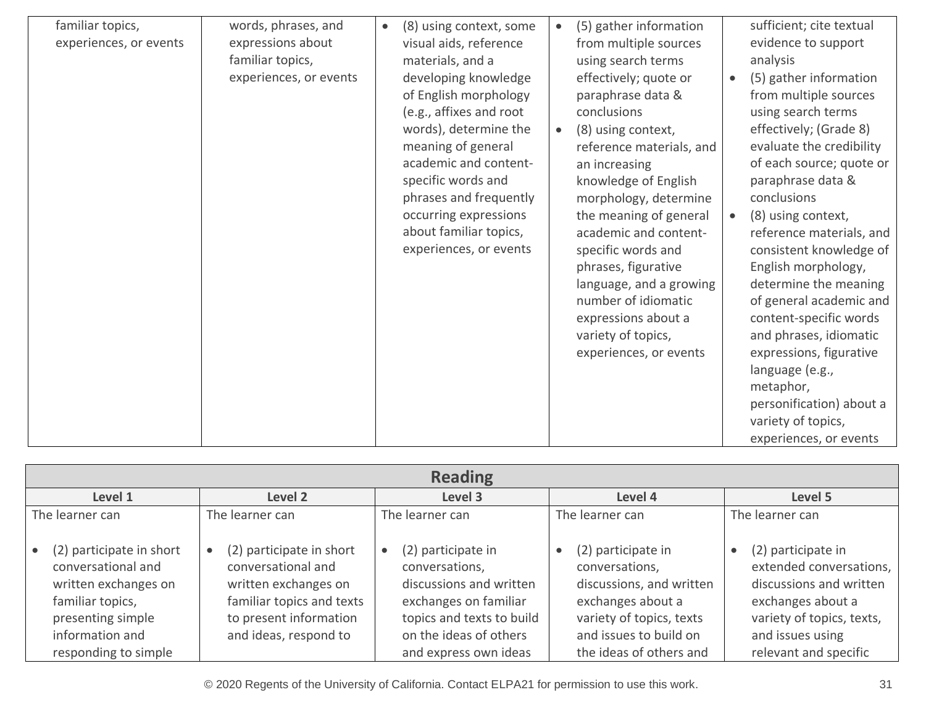| familiar topics,<br>experiences, or events | words, phrases, and<br>expressions about<br>familiar topics,<br>experiences, or events | (8) using context, some<br>$\bullet$<br>visual aids, reference<br>materials, and a<br>developing knowledge<br>of English morphology<br>(e.g., affixes and root<br>words), determine the<br>meaning of general<br>academic and content-<br>specific words and<br>phrases and frequently<br>occurring expressions<br>about familiar topics,<br>experiences, or events | (5) gather information<br>$\bullet$<br>from multiple sources<br>using search terms<br>effectively; quote or<br>paraphrase data &<br>conclusions<br>(8) using context,<br>$\bullet$<br>reference materials, and<br>an increasing<br>knowledge of English<br>morphology, determine<br>the meaning of general<br>academic and content-<br>specific words and<br>phrases, figurative<br>language, and a growing<br>number of idiomatic<br>expressions about a<br>variety of topics,<br>experiences, or events | sufficient; cite textual<br>evidence to support<br>analysis<br>(5) gather information<br>$\bullet$<br>from multiple sources<br>using search terms<br>effectively; (Grade 8)<br>evaluate the credibility<br>of each source; quote or<br>paraphrase data &<br>conclusions<br>(8) using context,<br>reference materials, and<br>consistent knowledge of<br>English morphology,<br>determine the meaning<br>of general academic and<br>content-specific words<br>and phrases, idiomatic<br>expressions, figurative<br>language (e.g.,<br>metaphor,<br>personification) about a<br>variety of topics,<br>experiences, or events |
|--------------------------------------------|----------------------------------------------------------------------------------------|---------------------------------------------------------------------------------------------------------------------------------------------------------------------------------------------------------------------------------------------------------------------------------------------------------------------------------------------------------------------|-----------------------------------------------------------------------------------------------------------------------------------------------------------------------------------------------------------------------------------------------------------------------------------------------------------------------------------------------------------------------------------------------------------------------------------------------------------------------------------------------------------|----------------------------------------------------------------------------------------------------------------------------------------------------------------------------------------------------------------------------------------------------------------------------------------------------------------------------------------------------------------------------------------------------------------------------------------------------------------------------------------------------------------------------------------------------------------------------------------------------------------------------|

| <b>Reading</b>                                                                                                                                             |                                                                                                                                                        |                                                                                                                                                                          |                                                                                                                                                                        |                                                                                                                                                                         |  |  |  |  |
|------------------------------------------------------------------------------------------------------------------------------------------------------------|--------------------------------------------------------------------------------------------------------------------------------------------------------|--------------------------------------------------------------------------------------------------------------------------------------------------------------------------|------------------------------------------------------------------------------------------------------------------------------------------------------------------------|-------------------------------------------------------------------------------------------------------------------------------------------------------------------------|--|--|--|--|
| Level 2<br>Level 1                                                                                                                                         |                                                                                                                                                        | Level 3                                                                                                                                                                  | Level 4                                                                                                                                                                | Level 5                                                                                                                                                                 |  |  |  |  |
| The learner can                                                                                                                                            | The learner can                                                                                                                                        | The learner can                                                                                                                                                          | The learner can                                                                                                                                                        | The learner can                                                                                                                                                         |  |  |  |  |
| (2) participate in short<br>conversational and<br>written exchanges on<br>familiar topics,<br>presenting simple<br>information and<br>responding to simple | (2) participate in short<br>conversational and<br>written exchanges on<br>familiar topics and texts<br>to present information<br>and ideas, respond to | (2) participate in<br>conversations,<br>discussions and written<br>exchanges on familiar<br>topics and texts to build<br>on the ideas of others<br>and express own ideas | (2) participate in<br>conversations,<br>discussions, and written<br>exchanges about a<br>variety of topics, texts<br>and issues to build on<br>the ideas of others and | (2) participate in<br>extended conversations,<br>discussions and written<br>exchanges about a<br>variety of topics, texts,<br>and issues using<br>relevant and specific |  |  |  |  |

© 2020 Regents of the University of California. Contact ELPA21 for permission to use this work. 31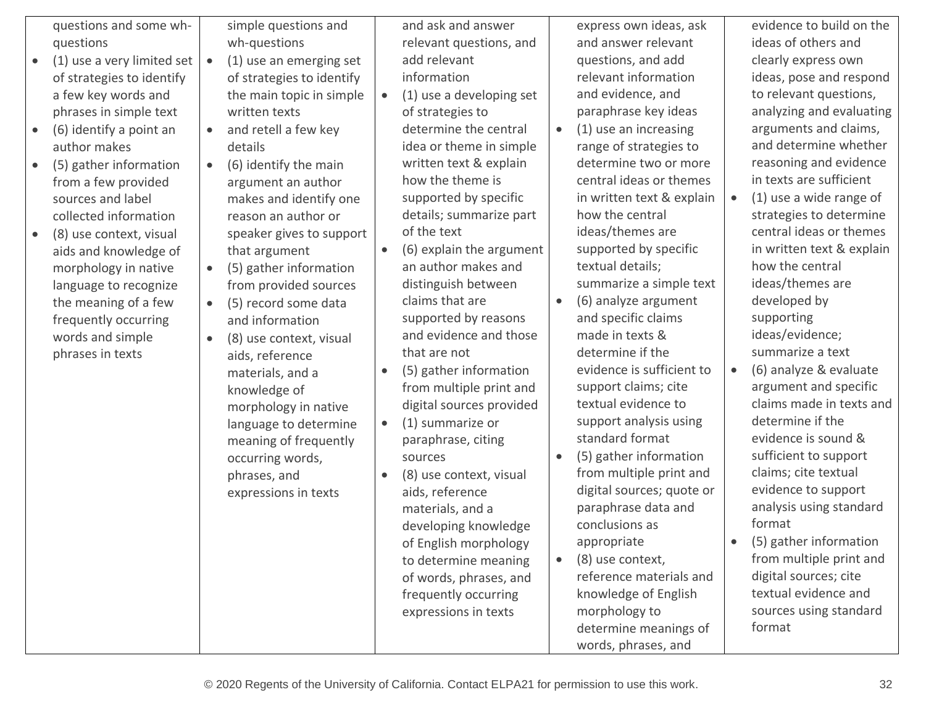|           | questions and some wh-<br>questions<br>(1) use a very limited set<br>of strategies to identify                                                                                                                                                                                                                                                                                       |                                                               | simple questions and<br>wh-questions<br>(1) use an emerging set<br>of strategies to identify                                                                                                                                                                                                                                                                                                                                                                                                                                                    |                                                  | and ask and answer<br>relevant questions, and<br>add relevant<br>information                                                                                                                                                                                                                                                                                                                                                                                                                                                                                                                                                                                      |           | express own ideas, ask<br>and answer relevant<br>questions, and add<br>relevant information                                                                                                                                                                                                                                                                                                                                                                                                                                                                                                                                                                               | evidence to build on the<br>ideas of others and<br>clearly express own<br>ideas, pose and respond                                                                                                                                                                                                                                                                                                                                                                                                                                                                                                                                                                               |
|-----------|--------------------------------------------------------------------------------------------------------------------------------------------------------------------------------------------------------------------------------------------------------------------------------------------------------------------------------------------------------------------------------------|---------------------------------------------------------------|-------------------------------------------------------------------------------------------------------------------------------------------------------------------------------------------------------------------------------------------------------------------------------------------------------------------------------------------------------------------------------------------------------------------------------------------------------------------------------------------------------------------------------------------------|--------------------------------------------------|-------------------------------------------------------------------------------------------------------------------------------------------------------------------------------------------------------------------------------------------------------------------------------------------------------------------------------------------------------------------------------------------------------------------------------------------------------------------------------------------------------------------------------------------------------------------------------------------------------------------------------------------------------------------|-----------|---------------------------------------------------------------------------------------------------------------------------------------------------------------------------------------------------------------------------------------------------------------------------------------------------------------------------------------------------------------------------------------------------------------------------------------------------------------------------------------------------------------------------------------------------------------------------------------------------------------------------------------------------------------------------|---------------------------------------------------------------------------------------------------------------------------------------------------------------------------------------------------------------------------------------------------------------------------------------------------------------------------------------------------------------------------------------------------------------------------------------------------------------------------------------------------------------------------------------------------------------------------------------------------------------------------------------------------------------------------------|
| $\bullet$ | a few key words and<br>phrases in simple text<br>(6) identify a point an<br>author makes<br>(5) gather information<br>from a few provided<br>sources and label<br>collected information<br>(8) use context, visual<br>aids and knowledge of<br>morphology in native<br>language to recognize<br>the meaning of a few<br>frequently occurring<br>words and simple<br>phrases in texts | $\bullet$<br>$\bullet$<br>$\bullet$<br>$\bullet$<br>$\bullet$ | the main topic in simple<br>written texts<br>and retell a few key<br>details<br>(6) identify the main<br>argument an author<br>makes and identify one<br>reason an author or<br>speaker gives to support<br>that argument<br>(5) gather information<br>from provided sources<br>(5) record some data<br>and information<br>(8) use context, visual<br>aids, reference<br>materials, and a<br>knowledge of<br>morphology in native<br>language to determine<br>meaning of frequently<br>occurring words,<br>phrases, and<br>expressions in texts | $\bullet$<br>$\bullet$<br>$\bullet$<br>$\bullet$ | (1) use a developing set<br>of strategies to<br>determine the central<br>idea or theme in simple<br>written text & explain<br>how the theme is<br>supported by specific<br>details; summarize part<br>of the text<br>(6) explain the argument<br>an author makes and<br>distinguish between<br>claims that are<br>supported by reasons<br>and evidence and those<br>that are not<br>(5) gather information<br>from multiple print and<br>digital sources provided<br>(1) summarize or<br>paraphrase, citing<br>sources<br>(8) use context, visual<br>aids, reference<br>materials, and a<br>developing knowledge<br>of English morphology<br>to determine meaning | $\bullet$ | and evidence, and<br>paraphrase key ideas<br>(1) use an increasing<br>range of strategies to<br>determine two or more<br>central ideas or themes<br>in written text & explain<br>how the central<br>ideas/themes are<br>supported by specific<br>textual details;<br>summarize a simple text<br>(6) analyze argument<br>and specific claims<br>made in texts &<br>determine if the<br>evidence is sufficient to<br>support claims; cite<br>textual evidence to<br>support analysis using<br>standard format<br>(5) gather information<br>from multiple print and<br>digital sources; quote or<br>paraphrase data and<br>conclusions as<br>appropriate<br>(8) use context, | to relevant questions,<br>analyzing and evaluating<br>arguments and claims,<br>and determine whether<br>reasoning and evidence<br>in texts are sufficient<br>(1) use a wide range of<br>strategies to determine<br>central ideas or themes<br>in written text & explain<br>how the central<br>ideas/themes are<br>developed by<br>supporting<br>ideas/evidence;<br>summarize a text<br>(6) analyze & evaluate<br>argument and specific<br>claims made in texts and<br>determine if the<br>evidence is sound &<br>sufficient to support<br>claims; cite textual<br>evidence to support<br>analysis using standard<br>format<br>(5) gather information<br>from multiple print and |
|           |                                                                                                                                                                                                                                                                                                                                                                                      |                                                               |                                                                                                                                                                                                                                                                                                                                                                                                                                                                                                                                                 |                                                  | of words, phrases, and<br>frequently occurring<br>expressions in texts                                                                                                                                                                                                                                                                                                                                                                                                                                                                                                                                                                                            |           | reference materials and<br>knowledge of English<br>morphology to<br>determine meanings of<br>words, phrases, and                                                                                                                                                                                                                                                                                                                                                                                                                                                                                                                                                          | digital sources; cite<br>textual evidence and<br>sources using standard<br>format                                                                                                                                                                                                                                                                                                                                                                                                                                                                                                                                                                                               |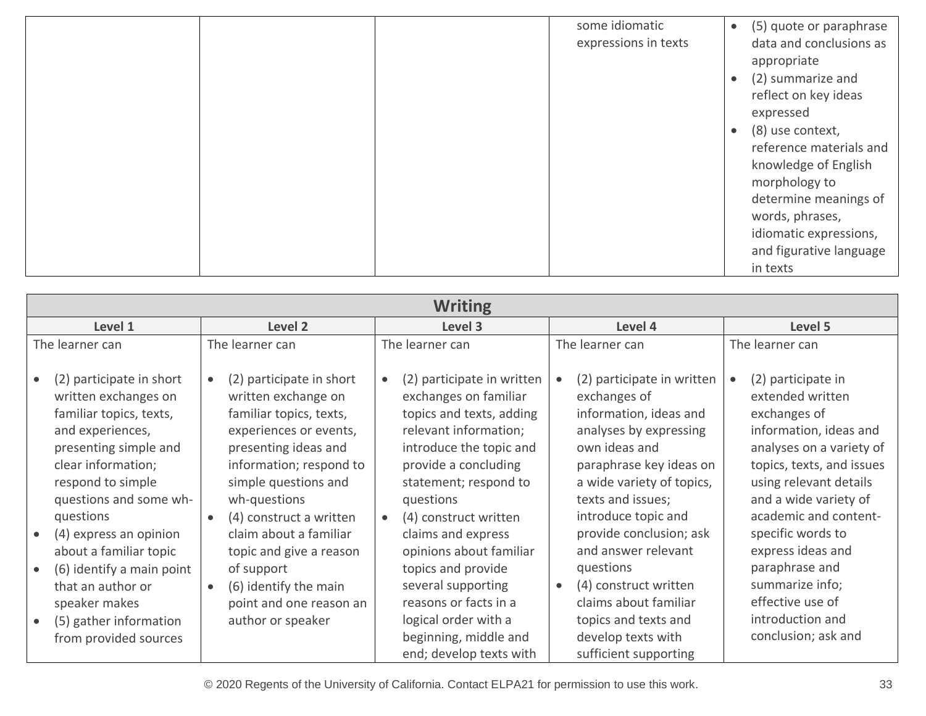|  | some idiomatic<br>expressions in texts | $\bullet$ | (5) quote or paraphrase<br>data and conclusions as<br>appropriate                                                                                                                     |
|--|----------------------------------------|-----------|---------------------------------------------------------------------------------------------------------------------------------------------------------------------------------------|
|  |                                        | $\bullet$ | (2) summarize and<br>reflect on key ideas<br>expressed                                                                                                                                |
|  |                                        | $\bullet$ | (8) use context,<br>reference materials and<br>knowledge of English<br>morphology to<br>determine meanings of<br>words, phrases,<br>idiomatic expressions,<br>and figurative language |
|  |                                        |           | in texts                                                                                                                                                                              |

| <b>Writing</b>                                                                                                                                                                                                                                                                                                                                                                                                                           |                                                                                                                                                                                                                                                                                                                                                                        |                                                                                                                                                                                                                                                                                                                                                                                                                             |                                                                                                                                                                                                                                                                                                                                                                                                 |                                                                                                                                                                                                                                                                                                                                                                     |  |  |  |  |
|------------------------------------------------------------------------------------------------------------------------------------------------------------------------------------------------------------------------------------------------------------------------------------------------------------------------------------------------------------------------------------------------------------------------------------------|------------------------------------------------------------------------------------------------------------------------------------------------------------------------------------------------------------------------------------------------------------------------------------------------------------------------------------------------------------------------|-----------------------------------------------------------------------------------------------------------------------------------------------------------------------------------------------------------------------------------------------------------------------------------------------------------------------------------------------------------------------------------------------------------------------------|-------------------------------------------------------------------------------------------------------------------------------------------------------------------------------------------------------------------------------------------------------------------------------------------------------------------------------------------------------------------------------------------------|---------------------------------------------------------------------------------------------------------------------------------------------------------------------------------------------------------------------------------------------------------------------------------------------------------------------------------------------------------------------|--|--|--|--|
| Level 1                                                                                                                                                                                                                                                                                                                                                                                                                                  | Level <sub>2</sub>                                                                                                                                                                                                                                                                                                                                                     | Level 3                                                                                                                                                                                                                                                                                                                                                                                                                     | Level 4                                                                                                                                                                                                                                                                                                                                                                                         | Level 5                                                                                                                                                                                                                                                                                                                                                             |  |  |  |  |
| The learner can                                                                                                                                                                                                                                                                                                                                                                                                                          | The learner can                                                                                                                                                                                                                                                                                                                                                        | The learner can                                                                                                                                                                                                                                                                                                                                                                                                             | The learner can                                                                                                                                                                                                                                                                                                                                                                                 | The learner can                                                                                                                                                                                                                                                                                                                                                     |  |  |  |  |
| (2) participate in short<br>$\bullet$<br>written exchanges on<br>familiar topics, texts,<br>and experiences,<br>presenting simple and<br>clear information;<br>respond to simple<br>questions and some wh-<br>questions<br>(4) express an opinion<br>$\bullet$<br>about a familiar topic<br>(6) identify a main point<br>$\bullet$<br>that an author or<br>speaker makes<br>(5) gather information<br>$\bullet$<br>from provided sources | (2) participate in short<br>written exchange on<br>familiar topics, texts,<br>experiences or events,<br>presenting ideas and<br>information; respond to<br>simple questions and<br>wh-questions<br>(4) construct a written<br>claim about a familiar<br>topic and give a reason<br>of support<br>(6) identify the main<br>point and one reason an<br>author or speaker | (2) participate in written<br>$\bullet$<br>exchanges on familiar<br>topics and texts, adding<br>relevant information;<br>introduce the topic and<br>provide a concluding<br>statement; respond to<br>questions<br>(4) construct written<br>$\bullet$<br>claims and express<br>opinions about familiar<br>topics and provide<br>several supporting<br>reasons or facts in a<br>logical order with a<br>beginning, middle and | (2) participate in written<br>exchanges of<br>information, ideas and<br>analyses by expressing<br>own ideas and<br>paraphrase key ideas on<br>a wide variety of topics,<br>texts and issues;<br>introduce topic and<br>provide conclusion; ask<br>and answer relevant<br>questions<br>(4) construct written<br>$\bullet$<br>claims about familiar<br>topics and texts and<br>develop texts with | (2) participate in<br>extended written<br>exchanges of<br>information, ideas and<br>analyses on a variety of<br>topics, texts, and issues<br>using relevant details<br>and a wide variety of<br>academic and content-<br>specific words to<br>express ideas and<br>paraphrase and<br>summarize info;<br>effective use of<br>introduction and<br>conclusion; ask and |  |  |  |  |
|                                                                                                                                                                                                                                                                                                                                                                                                                                          |                                                                                                                                                                                                                                                                                                                                                                        | end; develop texts with                                                                                                                                                                                                                                                                                                                                                                                                     | sufficient supporting                                                                                                                                                                                                                                                                                                                                                                           |                                                                                                                                                                                                                                                                                                                                                                     |  |  |  |  |